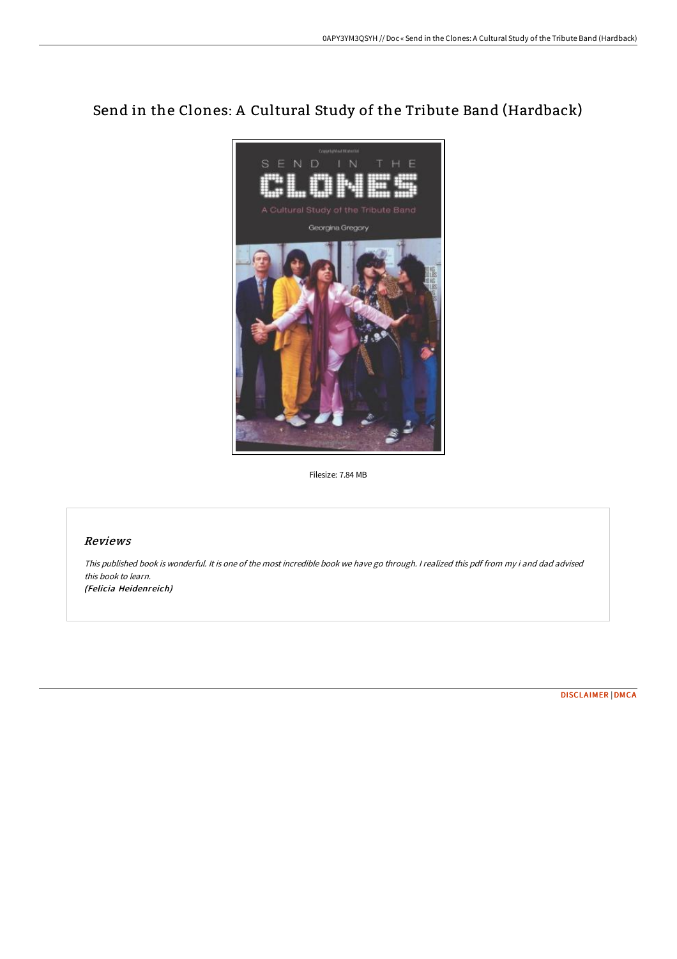# Send in the Clones: A Cultural Study of the Tribute Band (Hardback)



Filesize: 7.84 MB

## Reviews

This published book is wonderful. It is one of the most incredible book we have go through. <sup>I</sup> realized this pdf from my i and dad advised this book to learn. (Felicia Heidenreich)

[DISCLAIMER](http://digilib.live/disclaimer.html) | [DMCA](http://digilib.live/dmca.html)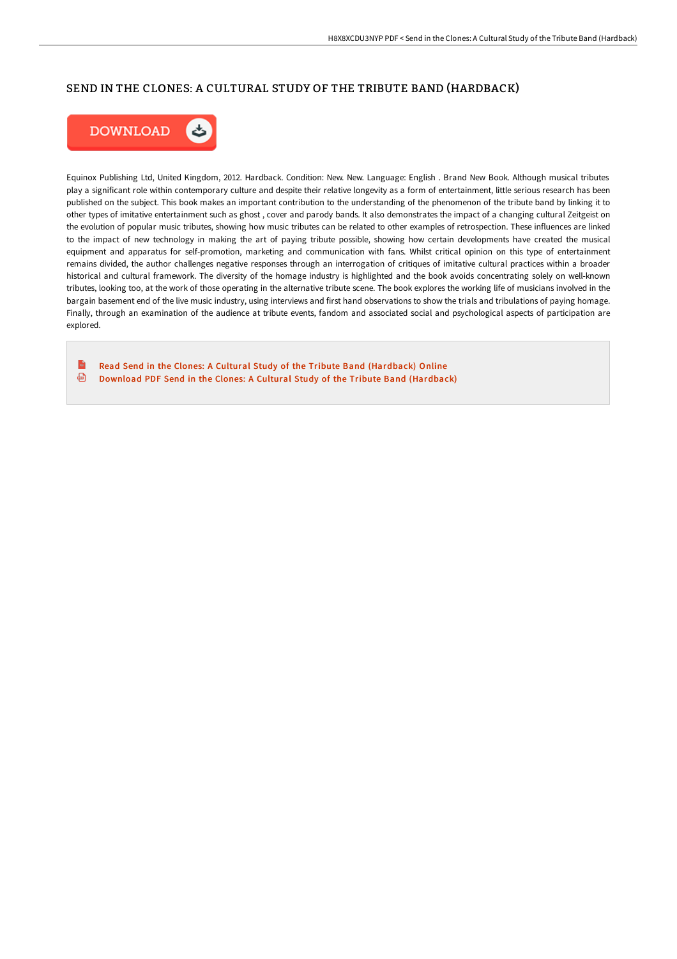## SEND IN THE CLONES: A CULTURAL STUDY OF THE TRIBUTE BAND (HARDBACK)



Equinox Publishing Ltd, United Kingdom, 2012. Hardback. Condition: New. New. Language: English . Brand New Book. Although musical tributes play a significant role within contemporary culture and despite their relative longevity as a form of entertainment, little serious research has been published on the subject. This book makes an important contribution to the understanding of the phenomenon of the tribute band by linking it to other types of imitative entertainment such as ghost , cover and parody bands. It also demonstrates the impact of a changing cultural Zeitgeist on the evolution of popular music tributes, showing how music tributes can be related to other examples of retrospection. These influences are linked to the impact of new technology in making the art of paying tribute possible, showing how certain developments have created the musical equipment and apparatus for self-promotion, marketing and communication with fans. Whilst critical opinion on this type of entertainment remains divided, the author challenges negative responses through an interrogation of critiques of imitative cultural practices within a broader historical and cultural framework. The diversity of the homage industry is highlighted and the book avoids concentrating solely on well-known tributes, looking too, at the work of those operating in the alternative tribute scene. The book explores the working life of musicians involved in the bargain basement end of the live music industry, using interviews and first hand observations to show the trials and tribulations of paying homage. Finally, through an examination of the audience at tribute events, fandom and associated social and psychological aspects of participation are explored.

 $\mathbf{r}$ Read Send in the Clones: A Cultural Study of the Tribute Band [\(Hardback\)](http://digilib.live/send-in-the-clones-a-cultural-study-of-the-tribu.html) Online  $\bigoplus$ Download PDF Send in the Clones: A Cultural Study of the Tribute Band [\(Hardback\)](http://digilib.live/send-in-the-clones-a-cultural-study-of-the-tribu.html)